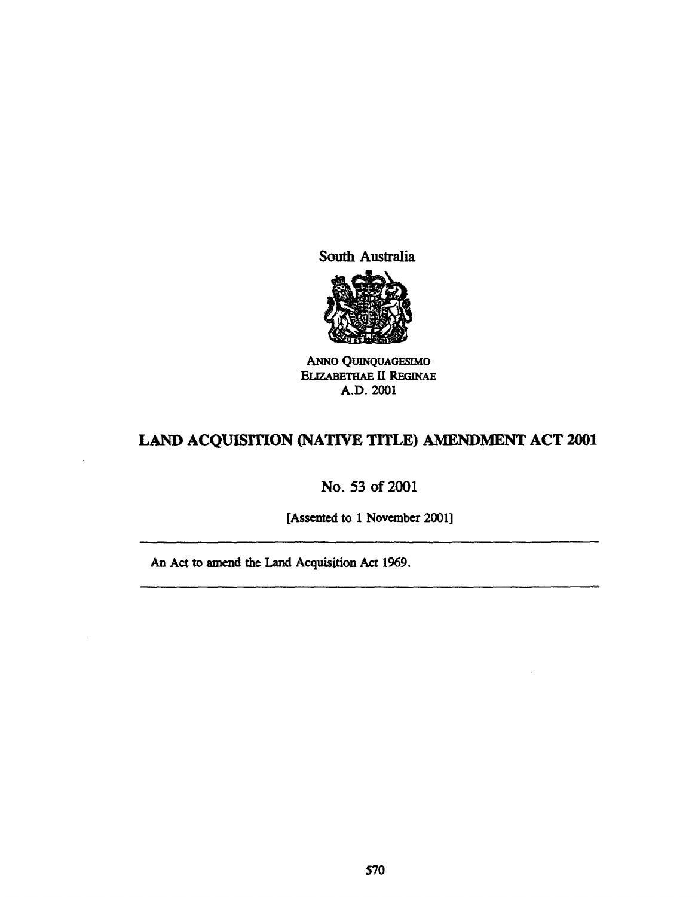South Australia



ANNo QUINQUAGESIMO ELIZABETHAE II REGINAE A.D.2oo1

# LAND ACQUISITION (NATIVE TITLE) AMENDMENT ACT 2001

# No. 53 of 2001

[Assented to 1 November 2001]

An Act to amend the Land Acquisition Act 1969.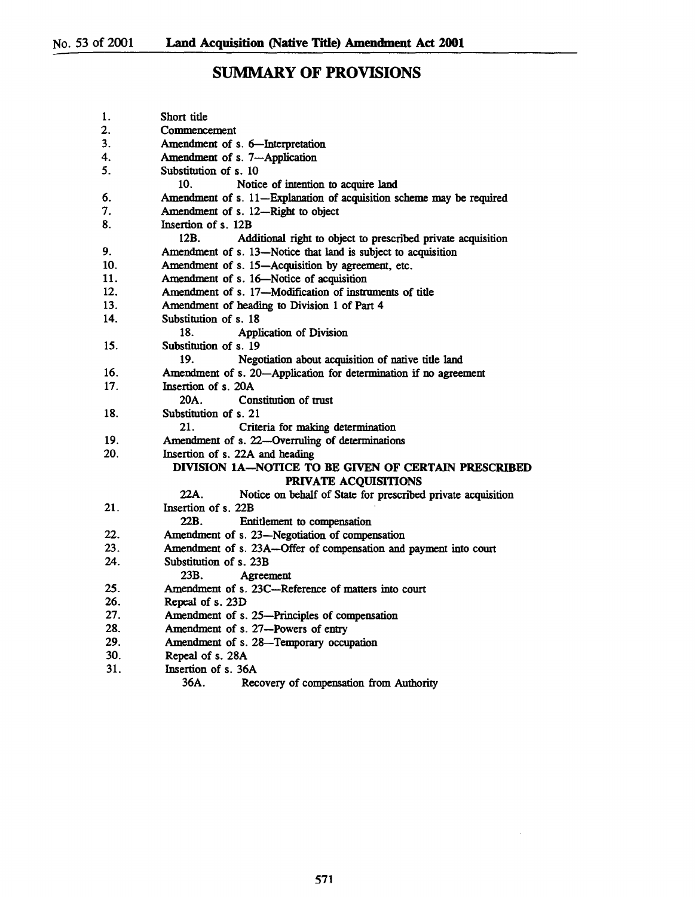# SUMMARY OF PROVISIONS

| 1.  | Short title                                                          |
|-----|----------------------------------------------------------------------|
| 2.  | Commencement                                                         |
| 3.  | Amendment of s. 6-Interpretation                                     |
| 4.  | Amendment of s. 7-Application                                        |
| 5.  | Substitution of s. 10                                                |
|     | 10.<br>Notice of intention to acquire land                           |
| 6.  | Amendment of s. 11-Explanation of acquisition scheme may be required |
| 7.  | Amendment of s. 12-Right to object                                   |
| 8.  | Insertion of s. 12B                                                  |
|     | 12B.<br>Additional right to object to prescribed private acquisition |
| 9.  | Amendment of s. 13-Notice that land is subject to acquisition        |
| 10. | Amendment of s. 15-Acquisition by agreement, etc.                    |
| 11. | Amendment of s. 16-Notice of acquisition                             |
| 12. | Amendment of s. 17-Modification of instruments of title              |
| 13. | Amendment of heading to Division 1 of Part 4                         |
| 14. | Substitution of s. 18                                                |
|     | 18.<br><b>Application of Division</b>                                |
| 15. | Substitution of s. 19                                                |
|     | Negotiation about acquisition of native title land<br>19.            |
| 16. | Amendment of s. 20-Application for determination if no agreement     |
| 17. | Insertion of s. 20A                                                  |
|     | 20A.<br>Constitution of trust                                        |
| 18. | Substitution of s. 21                                                |
|     | 21.<br>Criteria for making determination                             |
| 19. | Amendment of s. 22-Overruling of determinations                      |
| 20. | Insertion of s. 22A and heading                                      |
|     | DIVISION 1A-NOTICE TO BE GIVEN OF CERTAIN PRESCRIBED                 |
|     | PRIVATE ACQUISITIONS                                                 |
|     | 22A.<br>Notice on behalf of State for prescribed private acquisition |
| 21. | Insertion of s. 22B                                                  |
|     | 22B.<br>Entitlement to compensation                                  |
| 22. | Amendment of s. 23-Negotiation of compensation                       |
| 23. | Amendment of s. 23A-Offer of compensation and payment into court     |
| 24. | Substitution of s. 23B                                               |
|     | 23B.<br>Agreement                                                    |
| 25. | Amendment of s. 23C-Reference of matters into court                  |
| 26. | Repeal of s. 23D                                                     |
| 27. | Amendment of s. 25-Principles of compensation                        |
| 28. | Amendment of s. 27-Powers of entry                                   |
| 29. | Amendment of s. 28-Temporary occupation                              |
| 30. | Repeal of s. 28A                                                     |
| 31. | Insertion of s. 36A                                                  |
|     | 36A.<br>Recovery of compensation from Authority                      |

 $\sim$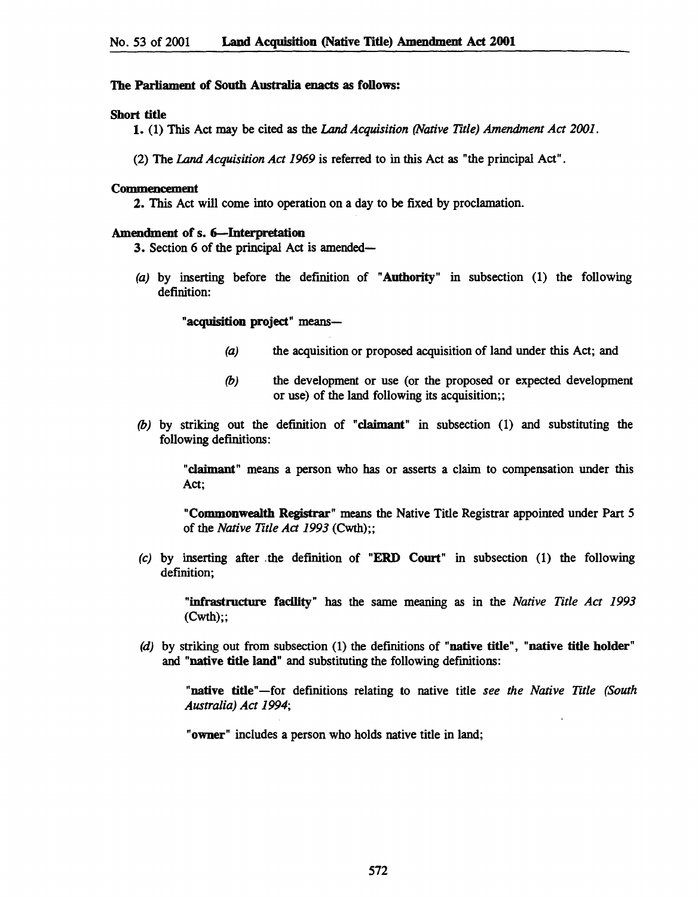### The Parliament of South Australia enacts as follows:

#### Short title

1. (1) This Act may be cited as the Land *Acquisition (Native Title) Amendment Act 2001.* 

(2) The Land *Acquisition Act* 1969 is referred to in this Act as "the principal Act".

#### Commencement

2. This Act will come into operation on a day to be fixed by proclamation.

## Amendment of s. 6-Interpretation

3. Section 6 of the principal Act is amended-

(a) by inserting before the definition of "Authority" in subsection (1) the following definition:

"acquisition project" means-

- (a) the acquisition or proposed acquisition of land under this Act; and
- *(b)* the development or use (or the proposed or expected development or use) of the land following its acquisition;;
- *(b)* by striking out the definition of "claimant" in subsection (1) and substituting the following definitions:

"claimant" means a person who has or asserts a claim to compensation under this Act;

"Commonwealth Registrar" means the Native Title Registrar appointed under Part 5 of the *Native Title Act* 1993 (Cwth);;

(c) by inserting after .the definition of "ERD Court" in subsection (1) the following definition;

"infrastructure facility" has the same meaning as in the *Native Title Act 1993*   $(Cwth)$ ;;

 $(d)$  by striking out from subsection  $(1)$  the definitions of "native title", "native title holder" and "native title land" and substituting the following definitions:

"native title"-for definitions relating to native title *see the Native Title (South Australia) Act 1994;* 

"owner" includes a person who holds native title in land;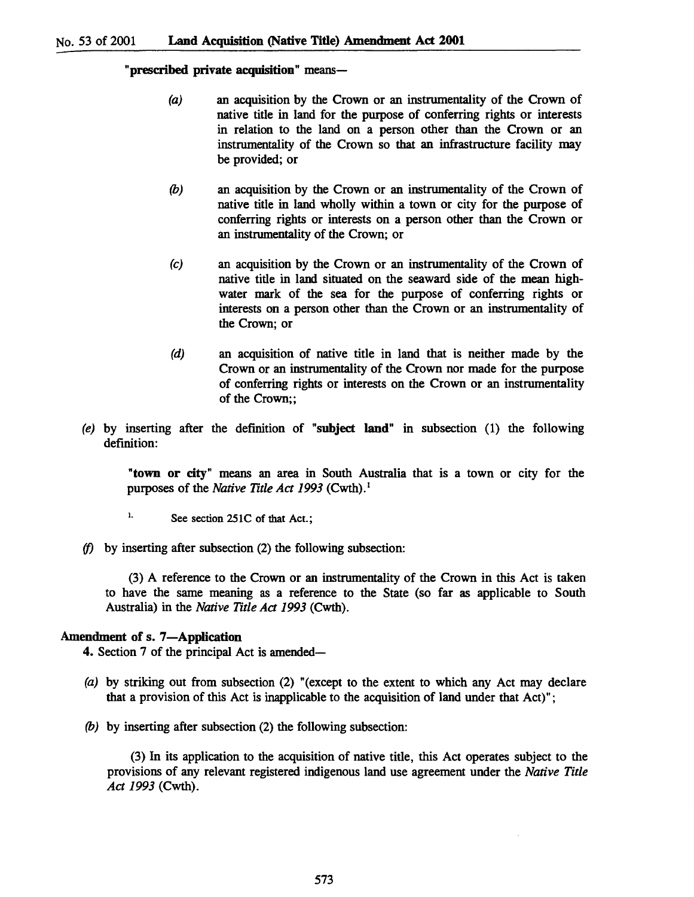"prescribed private acquisition" means-

- (a) an acquisition by the Crown or an instrumentality of the Crown of native title in land for the purpose of conferring rights or interests in relation to the land on a person other than the Crown or an instrumentality of the Crown so that an infrastructure facility may be provided; or
- *(b)* an acquisition by the Crown or an instrumentality of the Crown of native title in land wholly within a town or city for the purpose of conferring rights or interests on a person other than the Crown or an instrumentality of the Crown; or
- (c) an acquisition by the Crown or an instrumentality of the Crown of native title in land situated on the seaward side of the mean highwater mark of the sea for the purpose of conferring rights or interests on a person other than the Crown or an instrumentality of the Crown; or
- (d) an acquisition of native title in land that is neither made by the Crown or an instrumentality of the Crown nor made for the purpose of conferring rights or interests on the Crown or an instrumentality of the Crown;;
- (e) by inserting after the definition of "subject land" in subsection  $(1)$  the following definition:

"town or city" means an area in South Australia that is a town or city for the purposes of the *Native Title Act 1993* (Cwth).<sup>1</sup>

- $\frac{1}{1}$ . See section 251C of that Act.;
- *(f)* by inserting after subsection (2) the following subsection:

(3) A reference to the Crown or an instrumentality of the Crown in this Act is taken to have the same meaning as a reference to the State (so far as applicable to South Australia) in the *Native Title Act* 1993 (Cwth).

## Amendment of s. 7-Application

4. Section 7 of the principal Act is amended-

- (a) by striking out from subsection (2) "(except to the extent to which any Act may declare that a provision of this Act is inapplicable to the acquisition of land under that Act)";
- *(b)* by inserting after subsection (2) the following subsection:

(3) In its application to the acquisition of native title, this Act operates subject to the provisions of any relevant registered indigenous land use agreement under the *Native Title Act* 1993 (Cwth).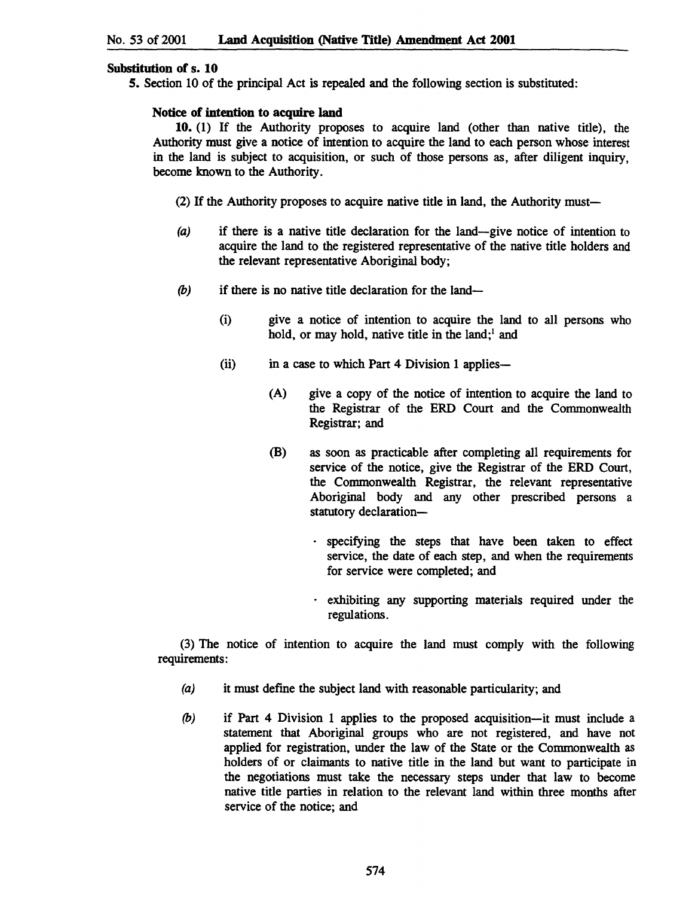## Substitution of s. 10

5. Section 10 of the principal Act is repealed and the following section is substituted:

## Notice of intention to acquire land

10. (1) If the Authority proposes to acquire land (other than native title), the Authority must give a notice of intention to acquire the land to each person whose interest in the land is subject to acquisition, or such of those persons as, after diligent inquiry, become known to the Authority.

(2) If the Authority proposes to acquire native title in land, the Authority must-

- (a) if there is a native title declaration for the land-give notice of intention to acquire the land to the registered representative of the native title holders and the relevant representative Aboriginal body;
- $(b)$  if there is no native title declaration for the land-
	- (i) give a notice of intention to acquire the land to all persons who hold, or may hold, native title in the land;' and
	- (ii) in a case to which Part 4 Division 1 applies-
		- (A) give a copy of the notice of intention to acquire the land to the Registrar of the ERD Court and the Commonwealth Registrar; and
		- (B) as soon as practicable after completing all requirements for service of the notice, give the Registrar of the ERD Court, the Commonwealth Registrar, the relevant representative Aboriginal body and any other prescribed persons a statutory declaration-
			- . specifying the steps that have been taken to effect service, the date of each step, and when the requirements for service were completed; and
			- . exhibiting any supporting materials required under the regulations.

(3) The notice of intention to acquire the land must comply with the following requirements:

- (a) it must define the subject land with reasonable particularity; and
- (b) if Part 4 Division 1 applies to the proposed acquisition-it must include a statement that Aboriginal groups who are not registered, and have not applied for registration, under the law of the State or the Commonwealth as holders of or claimants to native title in the land but want to participate in the negotiations must take the necessary steps under that law to become native title parties in relation to the relevant land within three months after service of the notice; and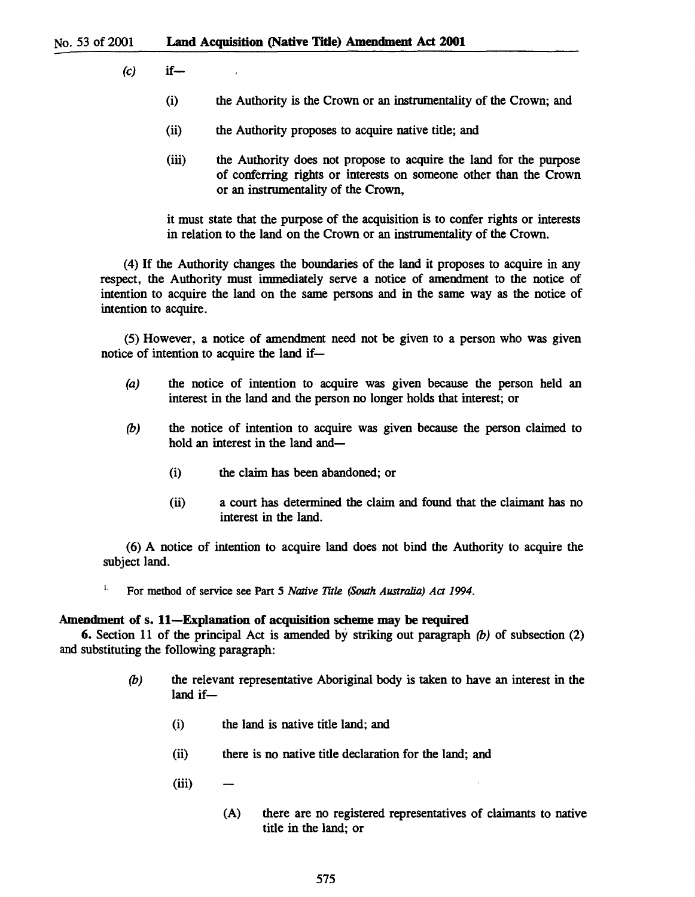- $(c)$  if
	- (i) the Authority is the Crown or an instrumentality of the Crown; and
	- (ii) the Authority proposes to acquire native title; and
	- (iii) the Authority does not propose to acquire the land for the purpose of conferring rights or interests on someone other than the Crown or an instrumentality of the Crown,

it must state that the purpose of the acquisition is to confer rights or interests in relation to the land on the Crown or an instrumentality of the Crown.

(4) If the Authority changes the boundaries of the land it proposes to acquire in any respect, the Authority must immediately serve a notice of amendment to the notice of intention to acquire the land on the same persons and in the same way as the notice of intention to acquire.

(5) However, a notice of amendment need not be given to a person who was given notice of intention to acquire the land if-

- (a) the notice of intention to acquire was given because the person held an interest in the land and the person no longer holds that interest; or
- (b) the notice of intention to acquire was given because the person claimed to hold an interest in the land and-
	- (i) the claim has been abandoned; or
	- (ii) a court has determined the claim and found that the claimant has no interest in the land.

(6) A notice of intention to acquire land does not bind the Authority to acquire the subject land.

<sup>1.</sup> For method of service see Part 5 *Native Title (South Australia) Act 1994*.

### Amendment of s. ll-Explanation of acquisition scheme may be required

6. Section 11 of the principal Act is amended by striking out paragraph  $(b)$  of subsection (2) and substituting the following paragraph:

- (b) the relevant representative Aboriginal body is taken to have an interest in the land if-
	- (i) the land is native title land; and
	- (ii) there is no native title declaration for the land; and
	- (iii)
		- (A) there are no registered representatives of claimants to native title in the land; or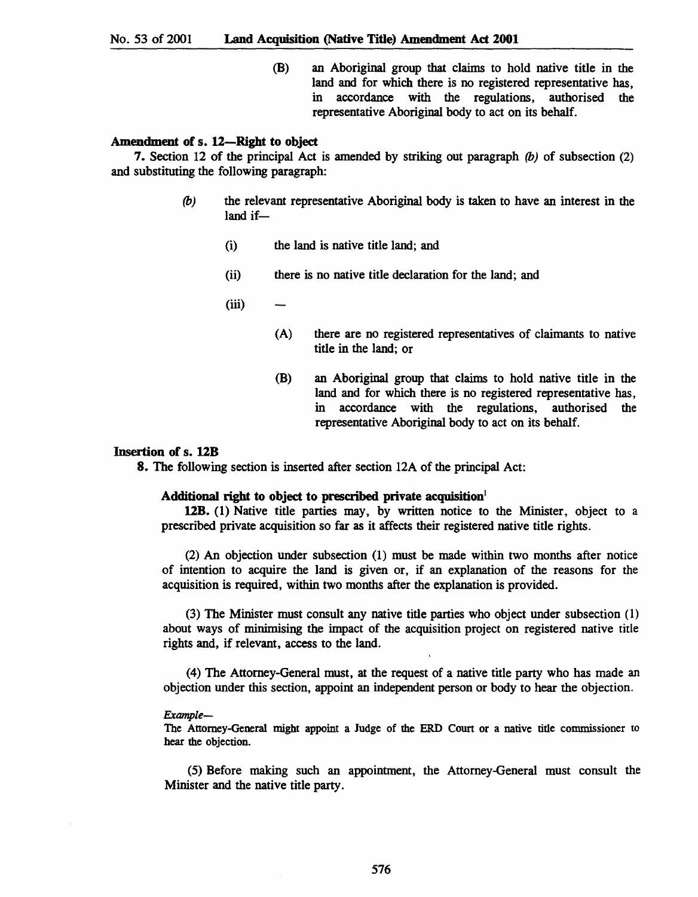(B) an Aboriginal group that claims to hold native title in the land and for which there is no registered representative has, in accordance with the regulations, authorised the representative Aboriginal body to act on its behalf.

#### Amendment of s. 12-Right to object

7. Section 12 of the principal Act is amended by striking out paragraph *(b)* of subsection (2) and substituting the following paragraph:

- *(b)* the relevant representative Aboriginal body is taken to have an interest in the  $land if$  $-$ 
	- (i) the land is native title land; and
	- (ii) there is no native title declaration for the land; and
	- (iii)
		- (A) there are no registered representatives of claimants to native title in the land; or
		- (B) an Aboriginal group that claims to hold native title in the land and for which there is no registered representative has, in accordance with the regulations, authorised the representative Aboriginal body to act on its behalf.

## Insertion of s. 12B

8. The following section is inserted after section 12A of the principal Act:

#### Additional right to object to prescribed private acquisition<sup>1</sup>

12B. (1) Native title parties may, by written notice to the Minister, object to a prescribed private acquisition so far as it affects their registered native title rights.

(2) An objection under subsection (1) must be made within two months after notice of intention to acquire the land is given or, if an explanation of the reasons for the acquisition is required, within two months after the explanation is provided.

(3) The Minister must consult any native title parties who object under subsection (1) about ways of minimising the impact of the acquisition project on registered native title rights and, if relevant, access to the land.

(4) The Attorney-General must, at the request of a native title party who has made an objection under this section, appoint an independent person or body to hear the objection.

#### *Example-*

The Attorney-General might appoint a Judge of the ERD Court or a native title commissioner to hear the objection.

(5) Before making such an appointment, the Attorney-General must consult the Minister and the native title party.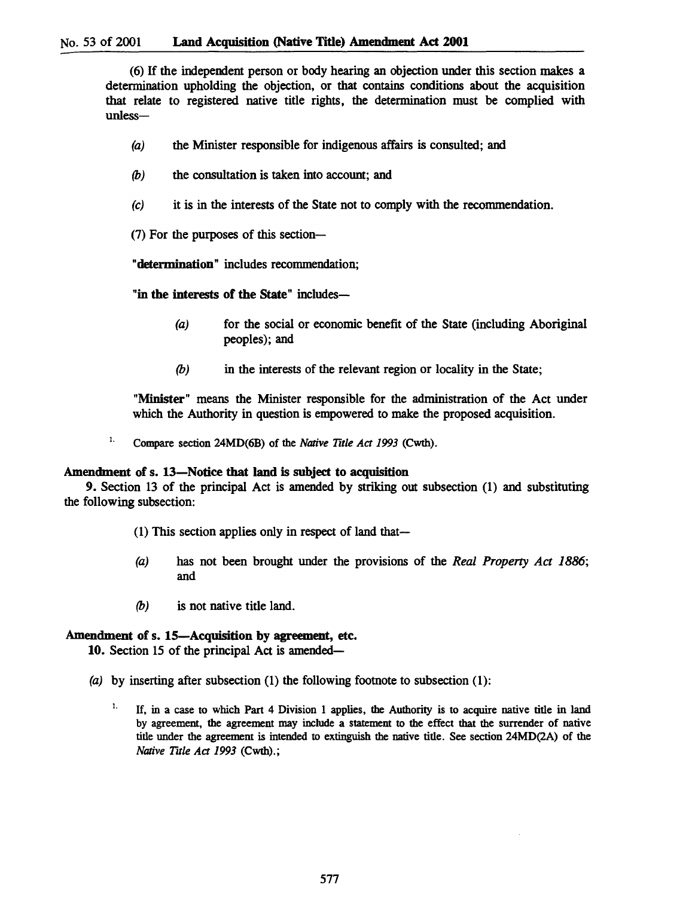(6) If the independent person or body hearing an objection under this section makes a detennination upholding the objection, or that contains conditions about the acquisition that relate to registered native title rights, the detennination must be complied with unless-

- (a) the Minister responsible for indigenous affairs is consulted; and
- *(b)* the consultation is taken into account; and
- (c) it is in the interests of the State not to comply with the recommendation.
- (7) For the purposes of this section-

"determination" includes recommendation;

"in the interests of the State" includes-

- (a) for the social or economic benefit of the State (including Aboriginal peoples); and
- (b) in the interests of the relevant region or locality in the State;

"Minister" means the Minister responsible for the administration of the Act under which the Authority in question is empowered to make the proposed acquisition.

1. Compare section 24MD(6B) of the *Native Title Act* 1993 (Cwth).

#### Amendment of s. 13-Notice that land is subject to acquisition

9. Section 13 of the principal Act is amended by striking out subsection (1) and substituting the following subsection:

- (1) This section applies only in respect of land that-
- *(a)* has not been brought under the provisions of the *Real Property Act 1886;*  and
- *(b)* is not native title land.

## Amendment of s. 15-Acquisition by agreement, etc.

10. Section 15 of the principal Act is amended-

- (a) by inserting after subsection (1) the following footnote to subsection (1):
	- <sup>1.</sup> If, in a case to which Part 4 Division 1 applies, the Authority is to acquire native title in land by agreement. the agreement may include a statement to the effect that the surrender of native title under the agreement is intended to extinguish the native title. See section 24MD(2A) of the *Native Title Act* 1993 (Cwth).;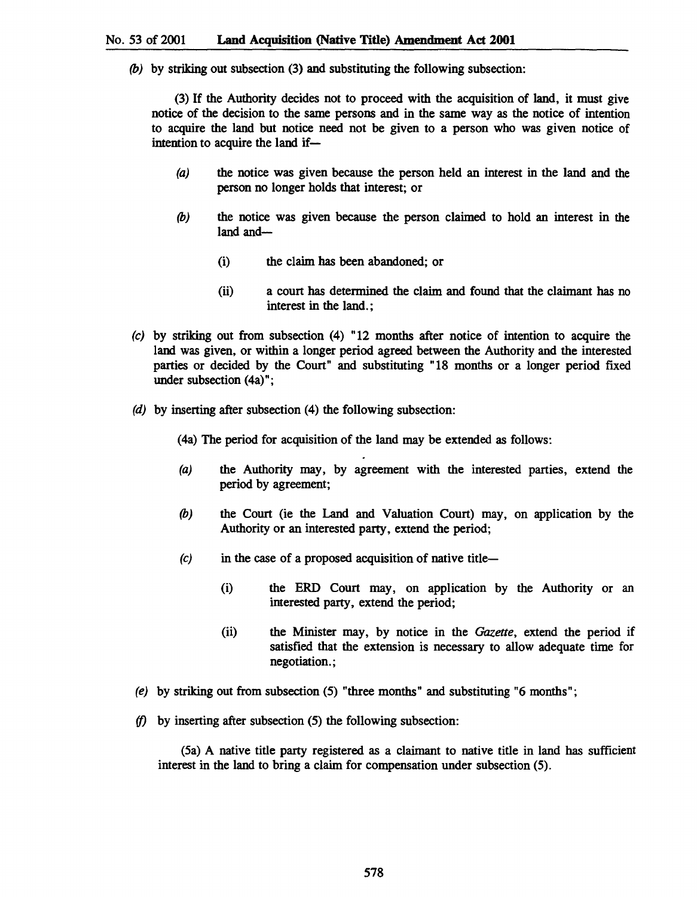*(b)* by striking out subsection (3) and substituting the following subsection:

(3) If the Authority decides not to proceed with the acquisition of land, it must give notice of the decision to the same persons and in the same way as the notice of intention to acquire the land but notice need not be given to a person who was given notice of intention to acquire the land if-

- (a) the notice was given because the person held an interest in the land and the person no longer holds that interest; or
- *(b)* the notice was given because the person claimed to hold an interest in the land and-
	- (i) the claim has been abandoned; or
	- (ii) a court has determined the claim and found that the claimant has no interest in the land.;
- (e) by striking out from subsection (4) "12 months after notice of intention to acquire the land was given, or within a longer period agreed between the Authority and the interested parties or decided by the Court" and substituting "18 months or a longer period fixed under subsection (4a)";
- (d) by inserting after subsection (4) the following subsection:

(4a) The period for acquisition of the land may be extended as follows:

- (a) the Authority may, by agreement with the interested parties, extend the period by agreement;
- *(b)* the Court (ie the Land and Valuation Court) may, on application by the Authority or an interested party, extend the period;
- $(c)$  in the case of a proposed acquisition of native title-
	- (i) the ERD Court may, on application by the Authority or an interested party, extend the period;
	- (ii) the Minister may, by notice in the *Gazette,* extend the period if satisfied that the extension is necessary to allow adequate time for negotiation. ;
- *(e)* by striking out from subsection (5) "three months" and substituting "6 months";
- $(f)$  by inserting after subsection (5) the following subsection:

(Sa) A native title party registered as a claimant to native title in land has sufficient interest in the land to bring a claim for compensation under subsection (5).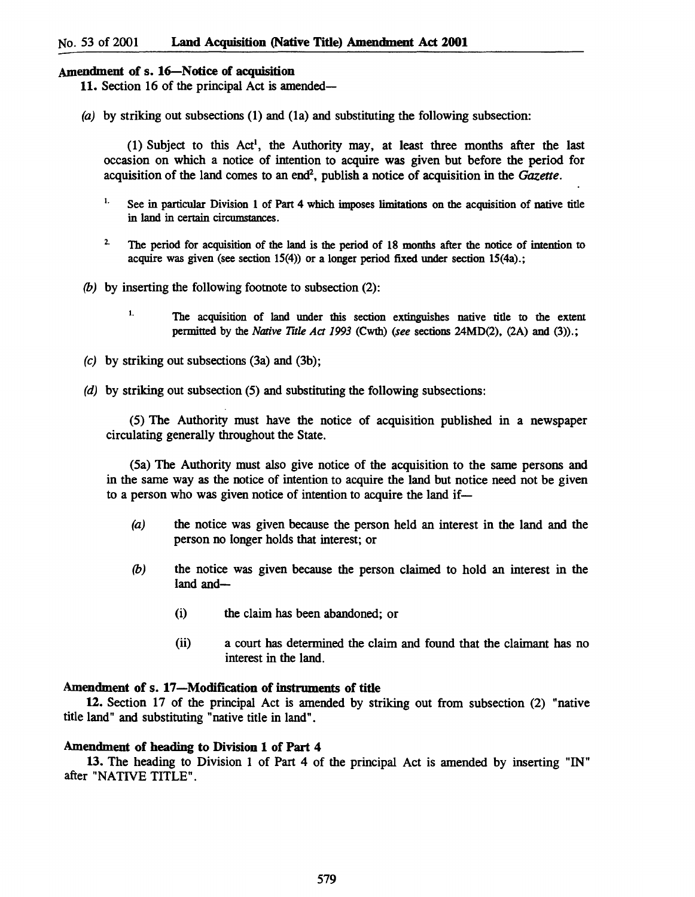## Amendment of s. 16-Notice of acquisition

11. Section 16 of the principal Act is amended-

(a) by striking out subsections  $(1)$  and  $(1a)$  and substituting the following subsection:

(1) Subject to this Act!, the Authority may, at least three months after the last occasion on which a notice of intention to acquire was given but before the period for acquisition of the land comes to an end<sup>2</sup>, publish a notice of acquisition in the *Gazette*.

- 1. See in particular Division 1 of Part 4 which imposes limitations on the acquisition of native title in land in certain circumstances.
- 2. The period for acquisition of the land is the period of 18 months after the notice of intention to acquire was given (see section  $15(4)$ ) or a longer period fixed under section  $15(4a)$ .;
- (b) by inserting the following footnote to subsection  $(2)$ :
	- <sup>1.</sup> The acquisition of land under this section extinguishes native title to the extent permitted by the *Native TItle Act* 1993 (Cwth) *(see* sections 24MD(2), (2A) and (3».;
- (c) by striking out subsections (3a) and (3b);
- (d) by striking out subsection (5) and substituting the following subsections:

(5) The Authority must have the notice of acquisition published in a newspaper circulating generally throughout the State.

(Sa) The Authority must also give notice of the acquisition to the same persons and in the same way as the notice of intention to acquire the land but notice need not be given to a person who was given notice of intention to acquire the land if-

- (a) the notice was given because the person held an interest in the land and the person no longer holds that interest; or
- (b) the notice was given because the person claimed to hold an interest in the land and-
	- (i) the claim has been abandoned; or
	- (ii) a court has determined the claim and found that the claimant has no interest in the land.

#### Amendment of s. 17-Modification of instruments of title

12. Section 17 of the principal Act is amended by striking out from subsection (2) "native title land" and substituting "native title in land".

## Amendment of heading to Division 1 of Part 4

13. The heading to Division 1 of Part 4 of the principal Act is amended by inserting "IN" after "NATIVE TITLE".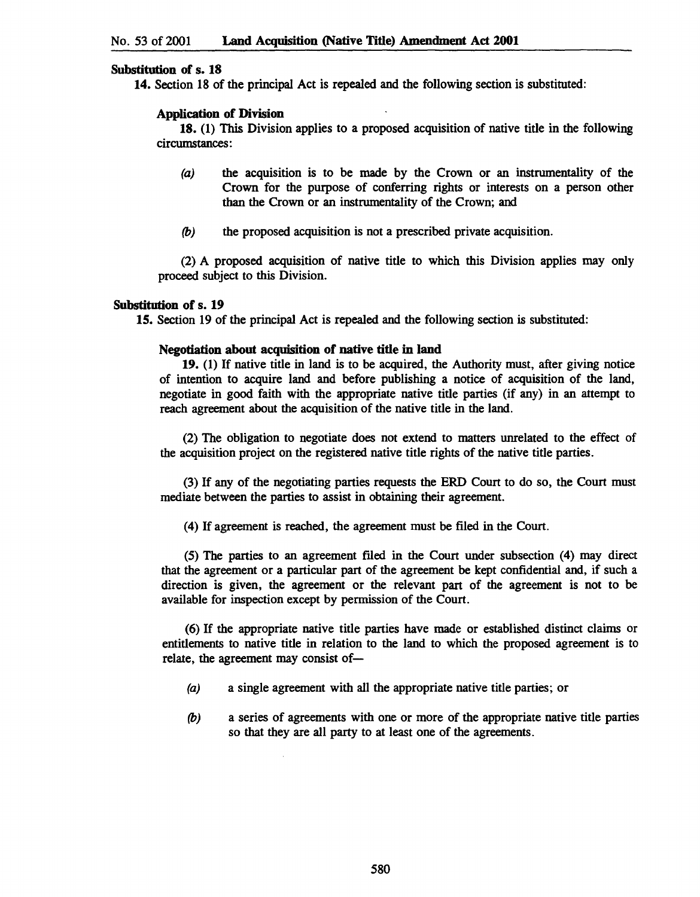## Substitution of s. 18

14. Section 18 of the principal Act is repealed and the following section is substituted:

# Application of Division

18. (1) This Division applies to a proposed acquisition of native title in the following circumstances:

- (a) the acquisition is to be made by the Crown or an instrumentality of the Crown for the purpose of conferring rights or interests on a person other than the Crown or an instrumentality of the Crown; and
- *(b)* the proposed acquisition is not a prescribed private acquisition.

(2) A proposed acquisition of native title to which this Division applies may only proceed subject to this Division.

## Substitution of s. 19

15. Section 19 of the principal Act is repealed and the following section is substituted:

## Negotiation about acquisition of native title in land

19. (1) If native title in land is to be acquired, the Authority must, after giving notice of intention to acquire land and before publishing a notice of acquisition of the land, negotiate in good faith with the appropriate native title parties (if any) in an attempt to reach agreement about the acquisition of the native title in the land.

(2) The obligation to negotiate does not extend to matters unrelated to the effect of the acquisition project on the registered native title rights of the native title parties.

(3) If any of the negotiating parties requests the ERD Court to do so, the Court must mediate between the parties to assist in obtaining their agreement.

(4) If agreement is reached, the agreement must be filed in the Court.

(5) The parties to an agreement fIled in the Court under subsection (4) may direct that the agreement or a particular part of the agreement be kept confidential and, if such a direction is given, the agreement or the relevant part of the agreement is not to be available for inspection except by permission of the Court.

(6) If the appropriate native title parties have made or established distinct claims or entitlements to native title in relation to the land to which the proposed agreement is to relate, the agreement may consist of-

- (a) a single agreement with all the appropriate native title parties; or
- *(b)* a series of agreements with one or more of the appropriate native title parties so that they are all party to at least one of the agreements.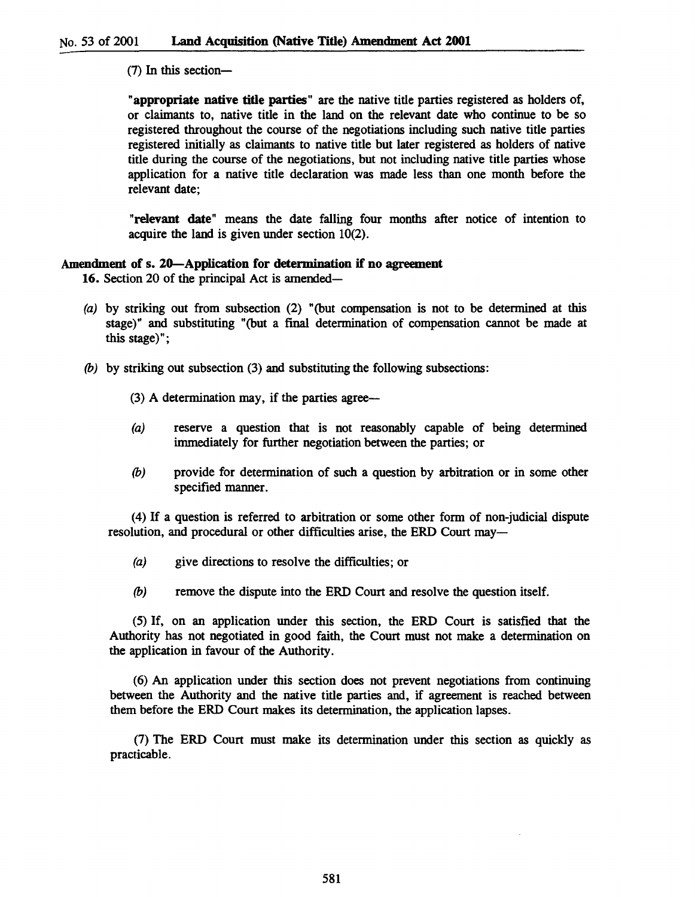$(7)$  In this section-

"appropriate native title parties" are the native title parties registered as holders of, or claimants to, native title in the land on the relevant date who continue to be so registered throughout the course of the negotiations including such native title parties registered initially as claimants to native title but later registered as holders of native title during the course of the negotiations, but not including native title parties whose application for a native title declaration was made less than one month before the relevant date;

"relevant date" means the date falling four months after notice of intention to acquire the land is given under section 10(2).

## Amendment of s. 20—Application for determination if no agreement

16. Section 20 of the principal Act is amended-

- (a) by striking out from subsection (2) "(but compensation is not to be determined at this stage)" and substituting "(but a final determination of compensation cannot be made at this stage)";
- *(b)* by striking out subsection (3) and substituting the following subsections:
	- $(3)$  A determination may, if the parties agree—
	- (a) reserve a question that is not reasonably capable of being determined immediately for further negotiation between the parties; or
	- *(b)* provide for determination of such a question by arbitration or in some other specified manner.

(4) If a question is referred to arbitration or some other form of non-judicial dispute resolution, and procedural or other difficulties arise, the ERD Court may—

- (a) give directions to resolve the difficulties; or
- *(b)* remove the dispute into the ERD Court and resolve the question itself.

(5) If, on an application under this section, the ERD Court is satisfied that the Authority has not negotiated in good faith, the Court must not make a determination on the application in favour of the Authority.

(6) An application under this section does not prevent negotiations from continuing between the Authority and the native title parties and, if agreement is reached between them before the ERD Court makes its determination, the application lapses.

(7) The ERD Court must make its determination under this section as quickly as practicable.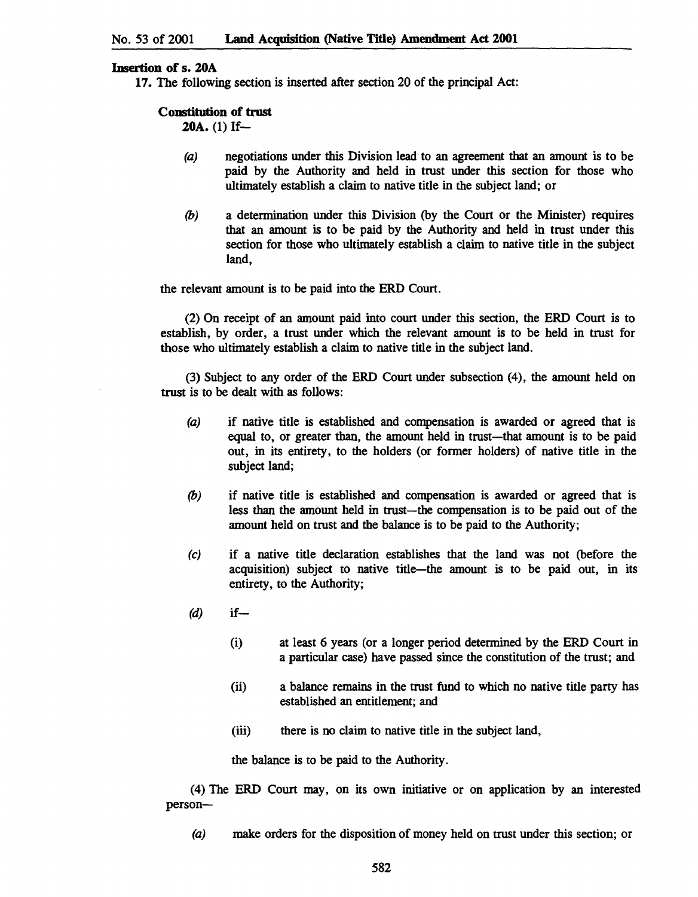## Insertion of s. 20A

17. The following section is inserted after section 20 of the principal Act:

#### Constitution of trust

20A. (1) If-

- (a) negotiations under this Division lead to an agreement that an amount is to be paid by the Authority and held in trust under this section for those who ultimately establish a claim to native title in the subject land; or
- (b) a determination under this Division (by the Court or the Minister) requires that an amount is to be paid by the Authority and held in trust under this section for those who ultimately establish a claim to native title in the subject land,

the relevant amount is to be paid into the ERD Court.

(2) On receipt of an amount paid into court under this section, the ERD Court is to establish, by order, a trust under which the relevant amount is to be held in trust for those who ultimately establish a claim to native title in the subject land.

(3) Subject to any order of the ERD Court under subsection (4), the amount held on trust is to be dealt with as follows:

- (a) if native title is established and compensation is awarded or agreed that is equal to, or greater than, the amount held in trust-that amount is to be paid out, in its entirety, to the holders (or former holders) of native title in the subject land;
- (b) if native title is established and compensation is awarded or agreed that is less than the amount held in trust-the compensation is to be paid out of the amount held on trust and the balance is to be paid to the Authority;
- (e) if a native title declaration establishes that the land was not (before the acquisition) subject to native title-the amount is to be paid out, in its entirety, to the Authority;
- $(d)$  if
	- (i) at least 6 years (or a longer period determined by the ERD Court in a particular case) have passed since the constitution of the trust; and
	- (ii) a balance remains in the trust fund to which no native title party has established an entitlement; and
	- (iii) there is no claim to native title in the subject land,

the balance is to be paid to the Authority.

(4) The ERD Court may, on its own initiative or on application by an interested person-

(a) make orders for the disposition of money held on trust under this section; or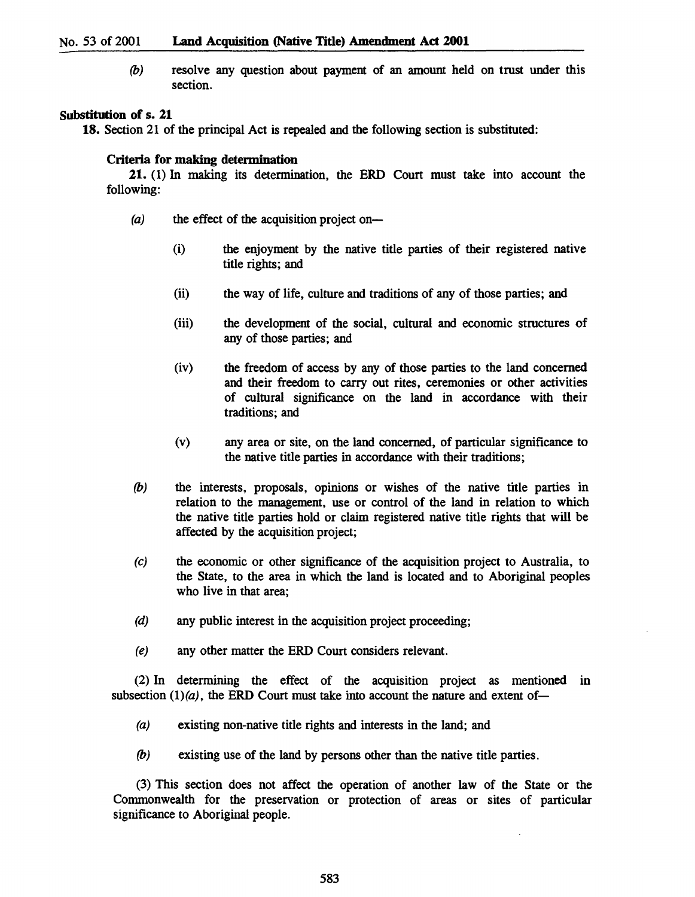(b) resolve any question about payment of an amount held on trust under this section.

## Substitution of s. 21

18. Section 21 of the principal Act is repealed and the following section is substituted:

#### Criteria for making determination

21. (1) In making its determination, the ERD Court must take into account the following:

- $(a)$  the effect of the acquisition project on-
	- (i) the enjoyment by the native title parties of their registered native title rights; and
	- (ii) the way of life, culture and traditions of any of those parties; and
	- (iii) the development of the social, cultural and economic structures of any of those parties; and
	- (iv) the freedom of access by any of those parties to the land concerned and their freedom to carry out rites, ceremonies or other activities of cultural significance on the land in accordance with their traditions; and
	- (v) any area or site, on the land concerned, of particular significance to the native title parties in accordance with their traditions;
- (b) the interests, proposals, opinions or wishes of the native title parties in relation to the management, use or control of the land in relation to which the native title parties hold or claim registered native title rights that will be affected by the acquisition project;
- (e) the economic or other significance of the acquisition project to Australia, to the State, to the area in which the land is located and to Aboriginal peoples who live in that area;
- (d) any public interest in the acquisition project proceeding;
- (e) any other matter the ERD Court considers relevant.

(2) In determining the effect of the acquisition project as mentioned in subsection  $(1)(a)$ , the ERD Court must take into account the nature and extent of-

- (a) existing non-native title rights and interests in the land; and
- (b) existing use of the land by persons other than the native title parties.

(3) This section does not affect the operation of another law of the State or the Commonwealth for the preservation or protection of areas or sites of particular significance to Aboriginal people.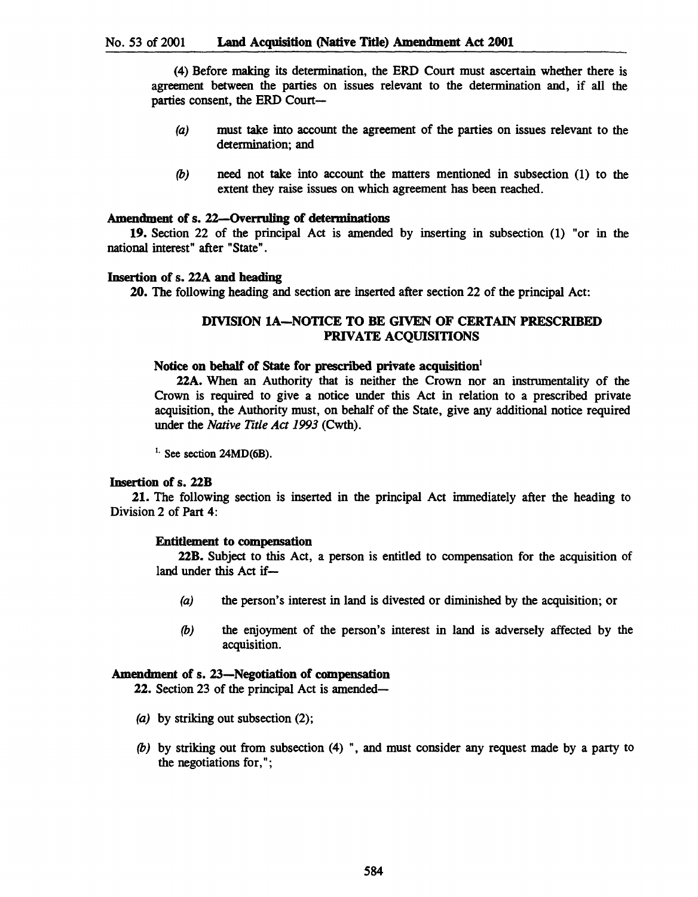(4) Before making its determination, the ERD Court must ascertain whether there is agreement between the parties on issues relevant to the determination and, if all the parties consent, the ERD Court-

- (a) must take into account the agreement of the parties on issues relevant to the determination; and
- *(b)* need not take into account the matters mentioned in subsection (1) to the extent they raise issues on which agreement has been reached.

#### Amendment of s. 22--Overruling of determinations

19. Section 22 of the principal Act is amended by inserting in subsection (1) "or in the national interest" after "State".

#### Insertion of s. 22A and heading

20. The following heading and section are inserted after section 22 of the principal Act:

# DIVISION lA-NOTICE TO BE GIVEN OF CERTAIN PRESCRIBED PRIVATE ACQUISITIONS

#### Notice on behalf of State for prescribed private acquisition!

22A. When an Authority that is neither the Crown nor an instrumentality of the Crown is required to give a notice under this Act in relation to a prescribed private acquisition, the Authority must, on behalf of the State, give any additional notice required under the *Native Title Act* 1993 (Cwth).

 $<sup>1</sup>$ . See section 24MD(6B).</sup>

#### Insertion of s. 22B

21. The following section is inserted in the principal Act immediately after the heading to Division 2 of Part 4:

## Entitlement to compensation

22B. Subject to this Act, a person is entitled to compensation for the acquisition of land under this Act if-

- (a) the person's interest in land is divested or diminished by the acquisition; or
- *(b)* the enjoyment of the person's interest in land is adversely affected by the acquisition.

## Amendment of s. 23-Negotiation of compensation

22. Section 23 of the principal Act is amended-

- (a) by striking out subsection (2);
- *(b)* by striking out from subsection (4) ", and must consider any request made by a party to the negotiations for, " ;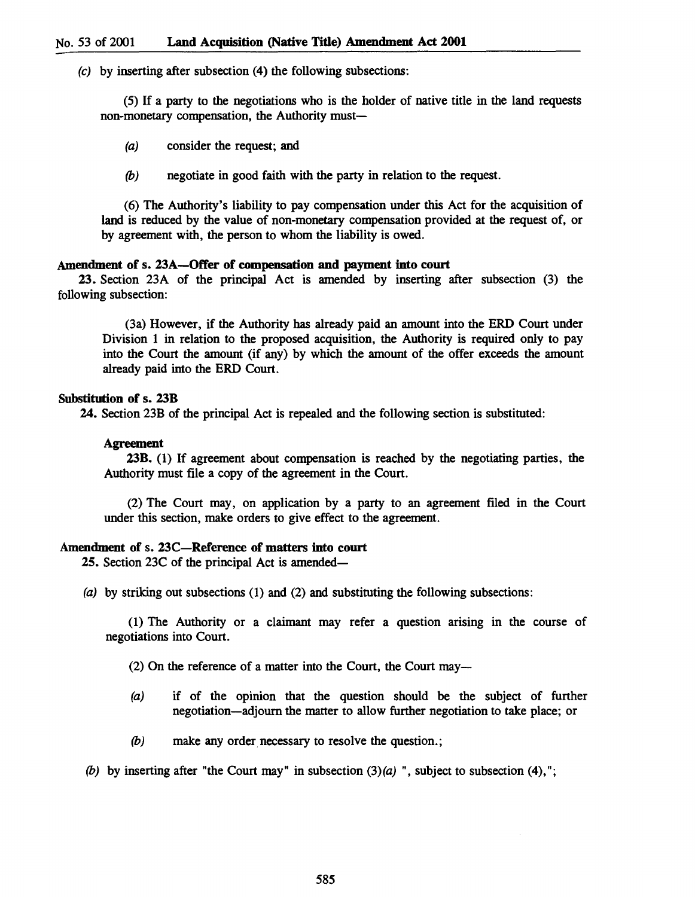(c) by inserting after subsection (4) the following subsections:

(5) If a party to the negotiations who is the holder of native title in the land requests non-monetary compensation, the Authority must-

(a) consider the request; and

(b) negotiate in good faith with the party in relation to the request.

(6) The Authority's liability to pay compensation under this Act for the acquisition of land is reduced by the value of non-monetary compensation provided at the request of, or by agreement with, the person to whom the liability is owed.

#### Amendment of s. 23A-Offer of compensation and payment into court

23. Section 23A of the principal Act is amended by inserting after subsection (3) the following subsection:

(3a) However, if the Authority has already paid an amount into the ERD Court under Division 1 in relation to the proposed acquisition, the Authority is required only to pay into the Court the amount (if any) by which the amount of the offer exceeds the amount already paid into the ERD Court.

#### Substitution of s. 23B

24. Section 23B of the principal Act is repealed and the following section is substituted:

#### Agreement

23B. (1) If agreement about compensation is reached by the negotiating parties, the Authority must file a copy of the agreement in the Court.

(2) The Court may, on application by a party to an agreement filed in the Court under this section, make orders to give effect to the agreement.

## Amendment of s. 23C-Reference of matters into court

25. Section 23C of the principal Act is amended-

(a) by striking out subsections (1) and (2) and substituting the following subsections:

(1) The Authority or a claimant may refer a question arising in the course of negotiations into Court.

(2) On the reference of a matter into the Court, the Court may-

- (a) if of the opinion that the question should be the subject of further negotiation-adjourn the matter to allow further negotiation to take place; or
- (b) make any order necessary to resolve the question.;

(b) by inserting after "the Court may" in subsection  $(3)(a)$ ", subject to subsection  $(4)$ ,";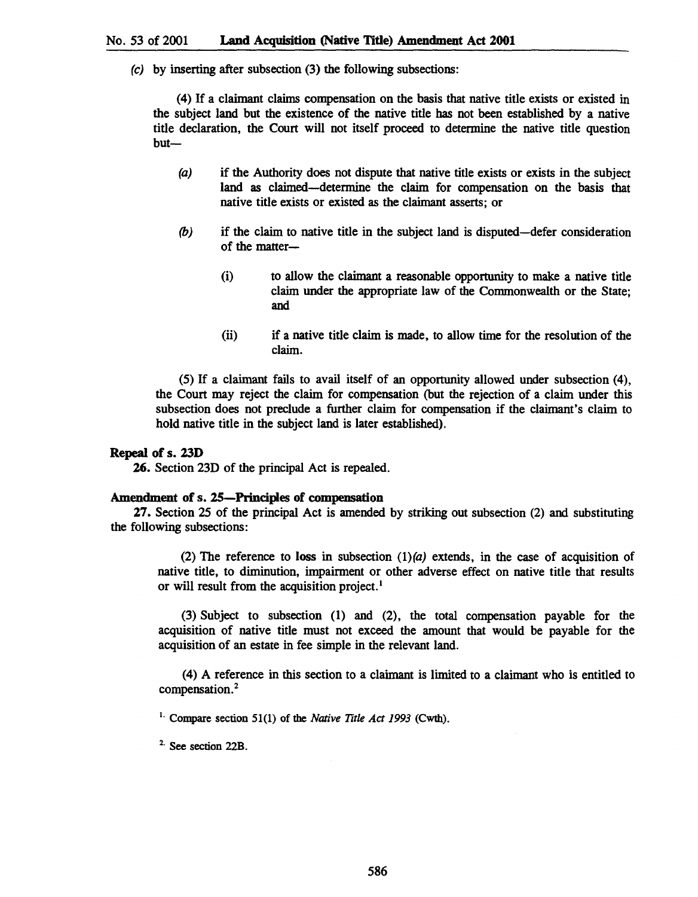(e) by inserting after subsection (3) the following subsections:

(4) If a claimant claims compensation on the basis that native title exists or existed in the subject land but the existence of the native title has not been established by a native title declaration, the Court will not itself proceed to determine the native title question but-

- (a) if the Authority does not dispute that native title exists or exists in the subject land as claimed-determine the claim for compensation on the basis that native title exists or existed as the claimant asserts; or
- *(b)* if the claim to native title in the subject land is disputed-defer consideration of the matter-
	- (i) to allow the claimant a reasonable opportunity to make a native title claim under the appropriate law of the Commonwealth or the State; and
	- (ii) if a native title claim is made, to allow time for the resolution of the claim.

(5) If a claimant fails to avail itself of an opportunity allowed under subsection (4), the Court may reject the claim for compensation (but the rejection of a claim under this subsection does not preclude a further claim for compensation if the claimant's claim to hold native title in the subject land is later established).

#### Repeal of s. 23D

26. Section 23D of the principal Act is repealed.

## Amendment of s. 2S-Principles of compensation

27. Section 25 of the principal Act is amended by striking out subsection (2) and substituting the following subsections:

(2) The reference to loss in subsection  $(1)(a)$  extends, in the case of acquisition of native title, to diminution, impairment or other adverse effect on native title that results or will result from the acquisition project.<sup>1</sup>

(3) Subject to subsection (1) and (2), the total compensation payable for the acquisition of native title must not exceed the amount that would be payable for the acquisition of an estate in fee simple in the relevant land.

(4) A reference in this section to a claimant is limited to a claimant who is entitled to compensation.<sup>2</sup>

<sup>1.</sup> Compare section 51(1) of the *Native Title Act 1993* (Cwth).

<sup>2</sup>. See section 22B.